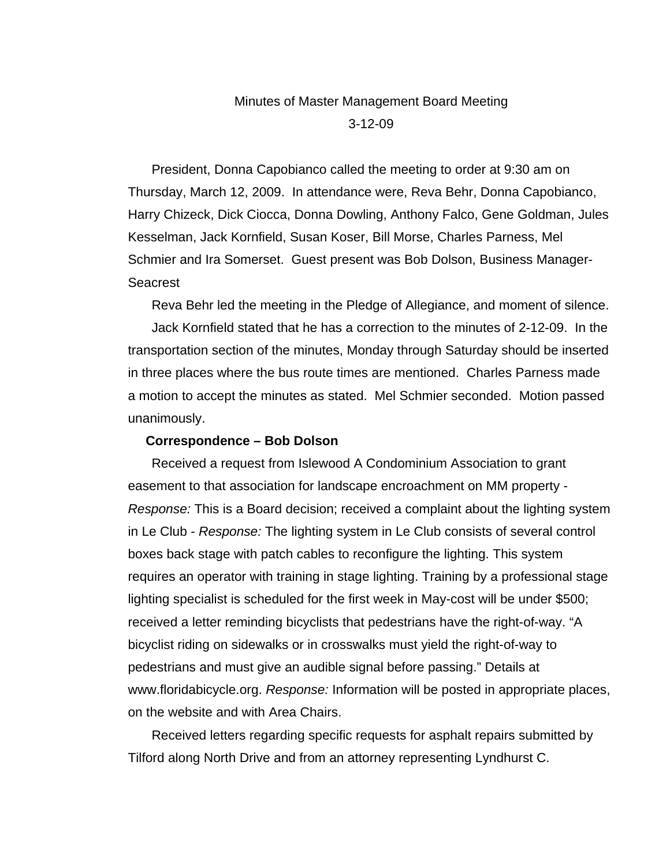# Minutes of Master Management Board Meeting

3-12-09

President, Donna Capobianco called the meeting to order at 9:30 am on Thursday, March 12, 2009. In attendance were, Reva Behr, Donna Capobianco, Harry Chizeck, Dick Ciocca, Donna Dowling, Anthony Falco, Gene Goldman, Jules Kesselman, Jack Kornfield, Susan Koser, Bill Morse, Charles Parness, Mel Schmier and Ira Somerset. Guest present was Bob Dolson, Business Manager-Seacrest

Reva Behr led the meeting in the Pledge of Allegiance, and moment of silence.

Jack Kornfield stated that he has a correction to the minutes of 2-12-09. In the transportation section of the minutes, Monday through Saturday should be inserted in three places where the bus route times are mentioned. Charles Parness made a motion to accept the minutes as stated. Mel Schmier seconded. Motion passed unanimously.

### **Correspondence – Bob Dolson**

Received a request from Islewood A Condominium Association to grant easement to that association for landscape encroachment on MM property - *Response:* This is a Board decision; received a complaint about the lighting system in Le Club - *Response:* The lighting system in Le Club consists of several control boxes back stage with patch cables to reconfigure the lighting. This system requires an operator with training in stage lighting. Training by a professional stage lighting specialist is scheduled for the first week in May-cost will be under \$500; received a letter reminding bicyclists that pedestrians have the right-of-way. "A bicyclist riding on sidewalks or in crosswalks must yield the right-of-way to pedestrians and must give an audible signal before passing." Details at www.floridabicycle.org. *Response:* Information will be posted in appropriate places, on the website and with Area Chairs.

Received letters regarding specific requests for asphalt repairs submitted by Tilford along North Drive and from an attorney representing Lyndhurst C.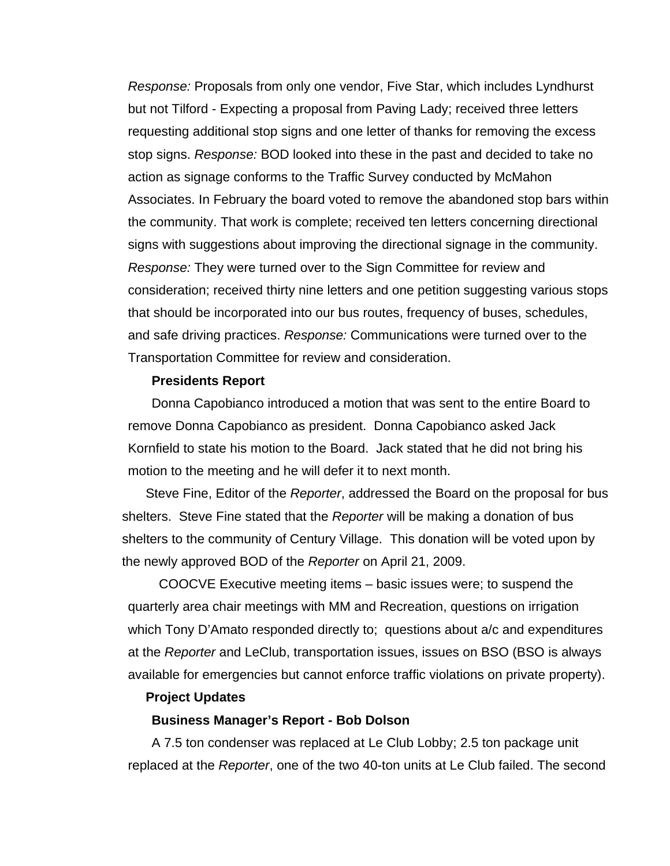*Response:* Proposals from only one vendor, Five Star, which includes Lyndhurst but not Tilford - Expecting a proposal from Paving Lady; received three letters requesting additional stop signs and one letter of thanks for removing the excess stop signs. *Response:* BOD looked into these in the past and decided to take no action as signage conforms to the Traffic Survey conducted by McMahon Associates. In February the board voted to remove the abandoned stop bars within the community. That work is complete; received ten letters concerning directional signs with suggestions about improving the directional signage in the community. *Response:* They were turned over to the Sign Committee for review and consideration; received thirty nine letters and one petition suggesting various stops that should be incorporated into our bus routes, frequency of buses, schedules, and safe driving practices. *Response:* Communications were turned over to the Transportation Committee for review and consideration.

### **Presidents Report**

Donna Capobianco introduced a motion that was sent to the entire Board to remove Donna Capobianco as president. Donna Capobianco asked Jack Kornfield to state his motion to the Board. Jack stated that he did not bring his motion to the meeting and he will defer it to next month.

Steve Fine, Editor of the *Reporter*, addressed the Board on the proposal for bus shelters. Steve Fine stated that the *Reporter* will be making a donation of bus shelters to the community of Century Village. This donation will be voted upon by the newly approved BOD of the *Reporter* on April 21, 2009.

 COOCVE Executive meeting items – basic issues were; to suspend the quarterly area chair meetings with MM and Recreation, questions on irrigation which Tony D'Amato responded directly to; questions about a/c and expenditures at the *Reporter* and LeClub, transportation issues, issues on BSO (BSO is always available for emergencies but cannot enforce traffic violations on private property).

### **Project Updates**

### **Business Manager's Report - Bob Dolson**

A 7.5 ton condenser was replaced at Le Club Lobby; 2.5 ton package unit replaced at the *Reporter*, one of the two 40-ton units at Le Club failed. The second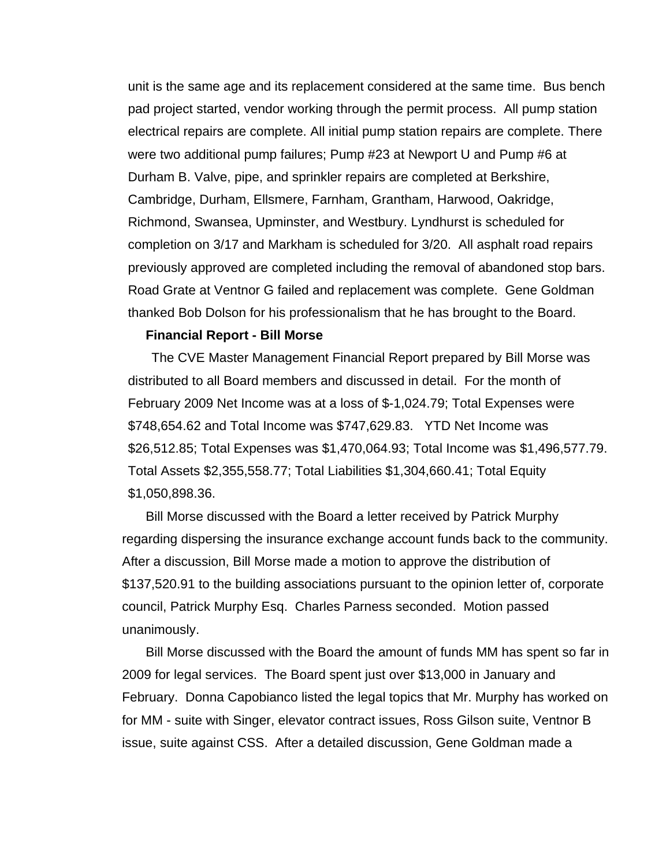unit is the same age and its replacement considered at the same time. Bus bench pad project started, vendor working through the permit process. All pump station electrical repairs are complete. All initial pump station repairs are complete. There were two additional pump failures; Pump #23 at Newport U and Pump #6 at Durham B. Valve, pipe, and sprinkler repairs are completed at Berkshire, Cambridge, Durham, Ellsmere, Farnham, Grantham, Harwood, Oakridge, Richmond, Swansea, Upminster, and Westbury. Lyndhurst is scheduled for completion on 3/17 and Markham is scheduled for 3/20. All asphalt road repairs previously approved are completed including the removal of abandoned stop bars. Road Grate at Ventnor G failed and replacement was complete. Gene Goldman thanked Bob Dolson for his professionalism that he has brought to the Board.

#### **Financial Report - Bill Morse**

The CVE Master Management Financial Report prepared by Bill Morse was distributed to all Board members and discussed in detail. For the month of February 2009 Net Income was at a loss of \$-1,024.79; Total Expenses were \$748,654.62 and Total Income was \$747,629.83. YTD Net Income was \$26,512.85; Total Expenses was \$1,470,064.93; Total Income was \$1,496,577.79. Total Assets \$2,355,558.77; Total Liabilities \$1,304,660.41; Total Equity \$1,050,898.36.

Bill Morse discussed with the Board a letter received by Patrick Murphy regarding dispersing the insurance exchange account funds back to the community. After a discussion, Bill Morse made a motion to approve the distribution of \$137,520.91 to the building associations pursuant to the opinion letter of, corporate council, Patrick Murphy Esq. Charles Parness seconded. Motion passed unanimously.

Bill Morse discussed with the Board the amount of funds MM has spent so far in 2009 for legal services. The Board spent just over \$13,000 in January and February. Donna Capobianco listed the legal topics that Mr. Murphy has worked on for MM - suite with Singer, elevator contract issues, Ross Gilson suite, Ventnor B issue, suite against CSS. After a detailed discussion, Gene Goldman made a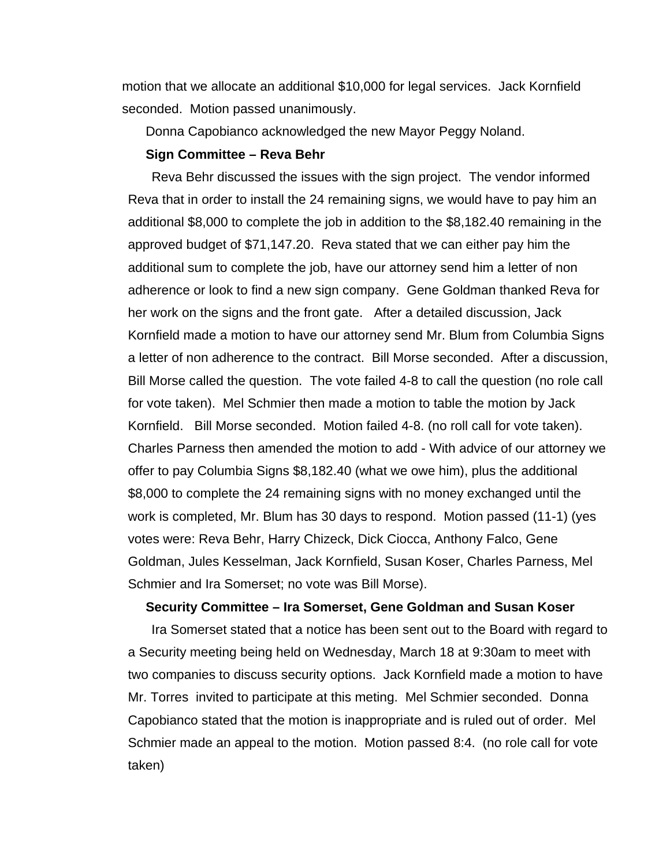motion that we allocate an additional \$10,000 for legal services. Jack Kornfield seconded. Motion passed unanimously.

Donna Capobianco acknowledged the new Mayor Peggy Noland.

#### **Sign Committee – Reva Behr**

Reva Behr discussed the issues with the sign project. The vendor informed Reva that in order to install the 24 remaining signs, we would have to pay him an additional \$8,000 to complete the job in addition to the \$8,182.40 remaining in the approved budget of \$71,147.20. Reva stated that we can either pay him the additional sum to complete the job, have our attorney send him a letter of non adherence or look to find a new sign company. Gene Goldman thanked Reva for her work on the signs and the front gate. After a detailed discussion, Jack Kornfield made a motion to have our attorney send Mr. Blum from Columbia Signs a letter of non adherence to the contract. Bill Morse seconded. After a discussion, Bill Morse called the question. The vote failed 4-8 to call the question (no role call for vote taken). Mel Schmier then made a motion to table the motion by Jack Kornfield. Bill Morse seconded. Motion failed 4-8. (no roll call for vote taken). Charles Parness then amended the motion to add - With advice of our attorney we offer to pay Columbia Signs \$8,182.40 (what we owe him), plus the additional \$8,000 to complete the 24 remaining signs with no money exchanged until the work is completed, Mr. Blum has 30 days to respond. Motion passed (11-1) (yes votes were: Reva Behr, Harry Chizeck, Dick Ciocca, Anthony Falco, Gene Goldman, Jules Kesselman, Jack Kornfield, Susan Koser, Charles Parness, Mel Schmier and Ira Somerset; no vote was Bill Morse).

# **Security Committee – Ira Somerset, Gene Goldman and Susan Koser**

Ira Somerset stated that a notice has been sent out to the Board with regard to a Security meeting being held on Wednesday, March 18 at 9:30am to meet with two companies to discuss security options. Jack Kornfield made a motion to have Mr. Torres invited to participate at this meting. Mel Schmier seconded. Donna Capobianco stated that the motion is inappropriate and is ruled out of order. Mel Schmier made an appeal to the motion. Motion passed 8:4. (no role call for vote taken)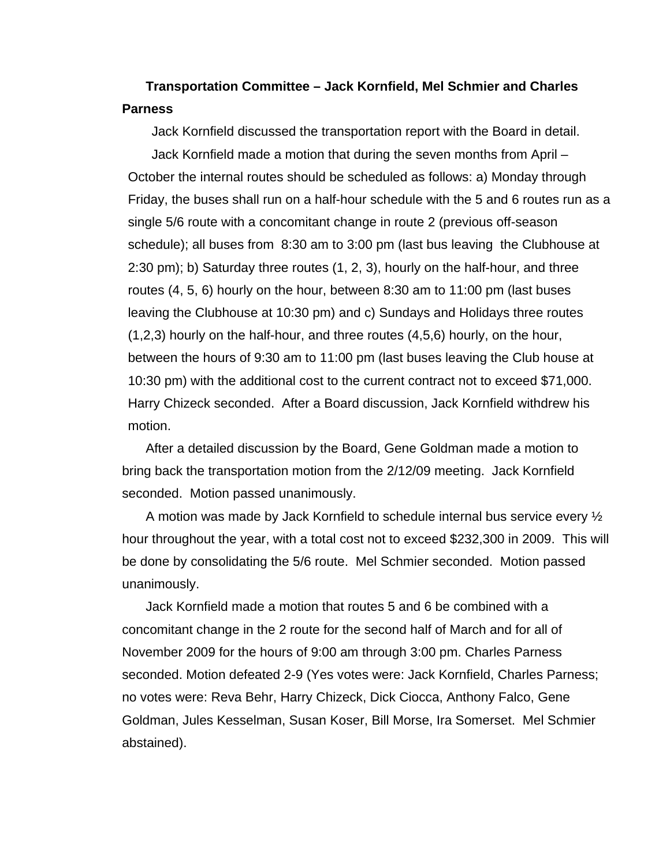# **Transportation Committee – Jack Kornfield, Mel Schmier and Charles Parness**

Jack Kornfield discussed the transportation report with the Board in detail.

Jack Kornfield made a motion that during the seven months from April – October the internal routes should be scheduled as follows: a) Monday through Friday, the buses shall run on a half-hour schedule with the 5 and 6 routes run as a single 5/6 route with a concomitant change in route 2 (previous off-season schedule); all buses from 8:30 am to 3:00 pm (last bus leaving the Clubhouse at 2:30 pm); b) Saturday three routes (1, 2, 3), hourly on the half-hour, and three routes (4, 5, 6) hourly on the hour, between 8:30 am to 11:00 pm (last buses leaving the Clubhouse at 10:30 pm) and c) Sundays and Holidays three routes (1,2,3) hourly on the half-hour, and three routes (4,5,6) hourly, on the hour, between the hours of 9:30 am to 11:00 pm (last buses leaving the Club house at 10:30 pm) with the additional cost to the current contract not to exceed \$71,000. Harry Chizeck seconded. After a Board discussion, Jack Kornfield withdrew his motion.

After a detailed discussion by the Board, Gene Goldman made a motion to bring back the transportation motion from the 2/12/09 meeting. Jack Kornfield seconded. Motion passed unanimously.

A motion was made by Jack Kornfield to schedule internal bus service every ½ hour throughout the year, with a total cost not to exceed \$232,300 in 2009. This will be done by consolidating the 5/6 route. Mel Schmier seconded. Motion passed unanimously.

Jack Kornfield made a motion that routes 5 and 6 be combined with a concomitant change in the 2 route for the second half of March and for all of November 2009 for the hours of 9:00 am through 3:00 pm. Charles Parness seconded. Motion defeated 2-9 (Yes votes were: Jack Kornfield, Charles Parness; no votes were: Reva Behr, Harry Chizeck, Dick Ciocca, Anthony Falco, Gene Goldman, Jules Kesselman, Susan Koser, Bill Morse, Ira Somerset. Mel Schmier abstained).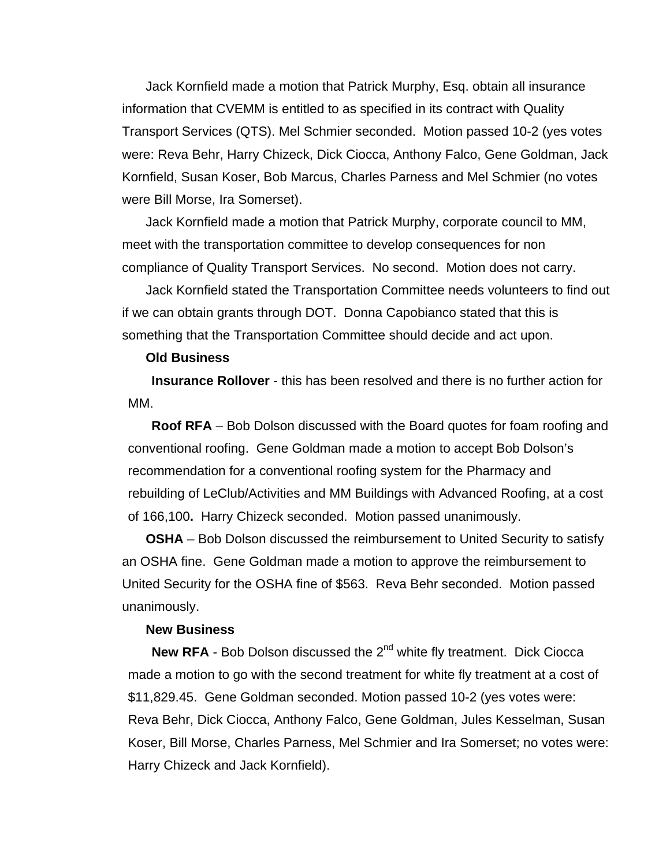Jack Kornfield made a motion that Patrick Murphy, Esq. obtain all insurance information that CVEMM is entitled to as specified in its contract with Quality Transport Services (QTS). Mel Schmier seconded. Motion passed 10-2 (yes votes were: Reva Behr, Harry Chizeck, Dick Ciocca, Anthony Falco, Gene Goldman, Jack Kornfield, Susan Koser, Bob Marcus, Charles Parness and Mel Schmier (no votes were Bill Morse, Ira Somerset).

Jack Kornfield made a motion that Patrick Murphy, corporate council to MM, meet with the transportation committee to develop consequences for non compliance of Quality Transport Services. No second. Motion does not carry.

Jack Kornfield stated the Transportation Committee needs volunteers to find out if we can obtain grants through DOT. Donna Capobianco stated that this is something that the Transportation Committee should decide and act upon.

### **Old Business**

**Insurance Rollover** - this has been resolved and there is no further action for MM.

**Roof RFA** – Bob Dolson discussed with the Board quotes for foam roofing and conventional roofing. Gene Goldman made a motion to accept Bob Dolson's recommendation for a conventional roofing system for the Pharmacy and rebuilding of LeClub/Activities and MM Buildings with Advanced Roofing, at a cost of 166,100**.** Harry Chizeck seconded. Motion passed unanimously.

**OSHA** – Bob Dolson discussed the reimbursement to United Security to satisfy an OSHA fine. Gene Goldman made a motion to approve the reimbursement to United Security for the OSHA fine of \$563. Reva Behr seconded. Motion passed unanimously.

#### **New Business**

**New RFA** - Bob Dolson discussed the 2<sup>nd</sup> white fly treatment. Dick Ciocca made a motion to go with the second treatment for white fly treatment at a cost of \$11,829.45. Gene Goldman seconded. Motion passed 10-2 (yes votes were: Reva Behr, Dick Ciocca, Anthony Falco, Gene Goldman, Jules Kesselman, Susan Koser, Bill Morse, Charles Parness, Mel Schmier and Ira Somerset; no votes were: Harry Chizeck and Jack Kornfield).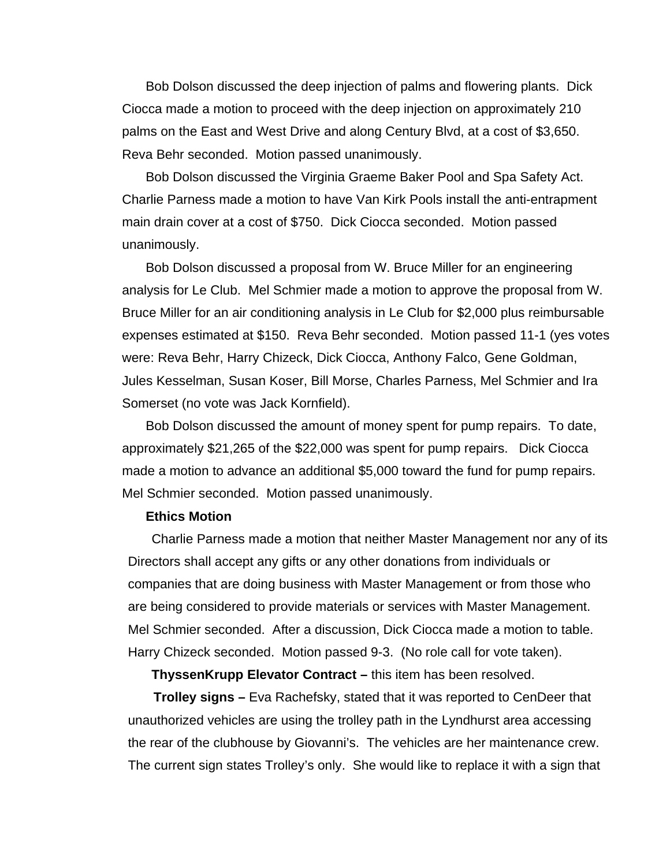Bob Dolson discussed the deep injection of palms and flowering plants. Dick Ciocca made a motion to proceed with the deep injection on approximately 210 palms on the East and West Drive and along Century Blvd, at a cost of \$3,650. Reva Behr seconded. Motion passed unanimously.

Bob Dolson discussed the Virginia Graeme Baker Pool and Spa Safety Act. Charlie Parness made a motion to have Van Kirk Pools install the anti-entrapment main drain cover at a cost of \$750. Dick Ciocca seconded. Motion passed unanimously.

Bob Dolson discussed a proposal from W. Bruce Miller for an engineering analysis for Le Club. Mel Schmier made a motion to approve the proposal from W. Bruce Miller for an air conditioning analysis in Le Club for \$2,000 plus reimbursable expenses estimated at \$150. Reva Behr seconded. Motion passed 11-1 (yes votes were: Reva Behr, Harry Chizeck, Dick Ciocca, Anthony Falco, Gene Goldman, Jules Kesselman, Susan Koser, Bill Morse, Charles Parness, Mel Schmier and Ira Somerset (no vote was Jack Kornfield).

Bob Dolson discussed the amount of money spent for pump repairs. To date, approximately \$21,265 of the \$22,000 was spent for pump repairs. Dick Ciocca made a motion to advance an additional \$5,000 toward the fund for pump repairs. Mel Schmier seconded. Motion passed unanimously.

### **Ethics Motion**

Charlie Parness made a motion that neither Master Management nor any of its Directors shall accept any gifts or any other donations from individuals or companies that are doing business with Master Management or from those who are being considered to provide materials or services with Master Management. Mel Schmier seconded. After a discussion, Dick Ciocca made a motion to table. Harry Chizeck seconded. Motion passed 9-3. (No role call for vote taken).

**ThyssenKrupp Elevator Contract –** this item has been resolved.

 **Trolley signs –** Eva Rachefsky, stated that it was reported to CenDeer that unauthorized vehicles are using the trolley path in the Lyndhurst area accessing the rear of the clubhouse by Giovanni's. The vehicles are her maintenance crew. The current sign states Trolley's only. She would like to replace it with a sign that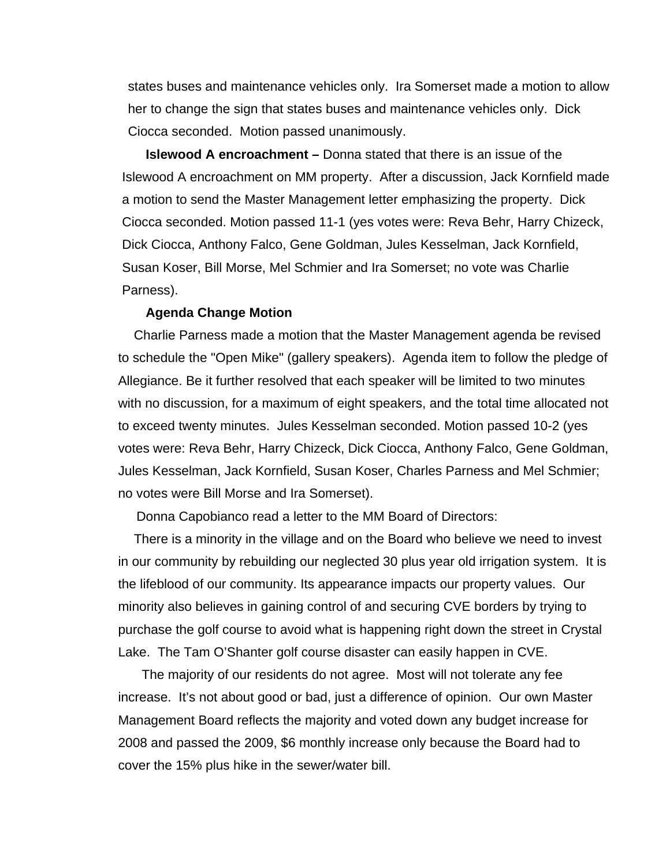states buses and maintenance vehicles only. Ira Somerset made a motion to allow her to change the sign that states buses and maintenance vehicles only. Dick Ciocca seconded. Motion passed unanimously.

**Islewood A encroachment –** Donna stated that there is an issue of the Islewood A encroachment on MM property. After a discussion, Jack Kornfield made a motion to send the Master Management letter emphasizing the property. Dick Ciocca seconded. Motion passed 11-1 (yes votes were: Reva Behr, Harry Chizeck, Dick Ciocca, Anthony Falco, Gene Goldman, Jules Kesselman, Jack Kornfield, Susan Koser, Bill Morse, Mel Schmier and Ira Somerset; no vote was Charlie Parness).

### **Agenda Change Motion**

Charlie Parness made a motion that the Master Management agenda be revised to schedule the "Open Mike" (gallery speakers). Agenda item to follow the pledge of Allegiance. Be it further resolved that each speaker will be limited to two minutes with no discussion, for a maximum of eight speakers, and the total time allocated not to exceed twenty minutes. Jules Kesselman seconded. Motion passed 10-2 (yes votes were: Reva Behr, Harry Chizeck, Dick Ciocca, Anthony Falco, Gene Goldman, Jules Kesselman, Jack Kornfield, Susan Koser, Charles Parness and Mel Schmier; no votes were Bill Morse and Ira Somerset).

Donna Capobianco read a letter to the MM Board of Directors:

There is a minority in the village and on the Board who believe we need to invest in our community by rebuilding our neglected 30 plus year old irrigation system. It is the lifeblood of our community. Its appearance impacts our property values. Our minority also believes in gaining control of and securing CVE borders by trying to purchase the golf course to avoid what is happening right down the street in Crystal Lake. The Tam O'Shanter golf course disaster can easily happen in CVE.

The majority of our residents do not agree. Most will not tolerate any fee increase. It's not about good or bad, just a difference of opinion. Our own Master Management Board reflects the majority and voted down any budget increase for 2008 and passed the 2009, \$6 monthly increase only because the Board had to cover the 15% plus hike in the sewer/water bill.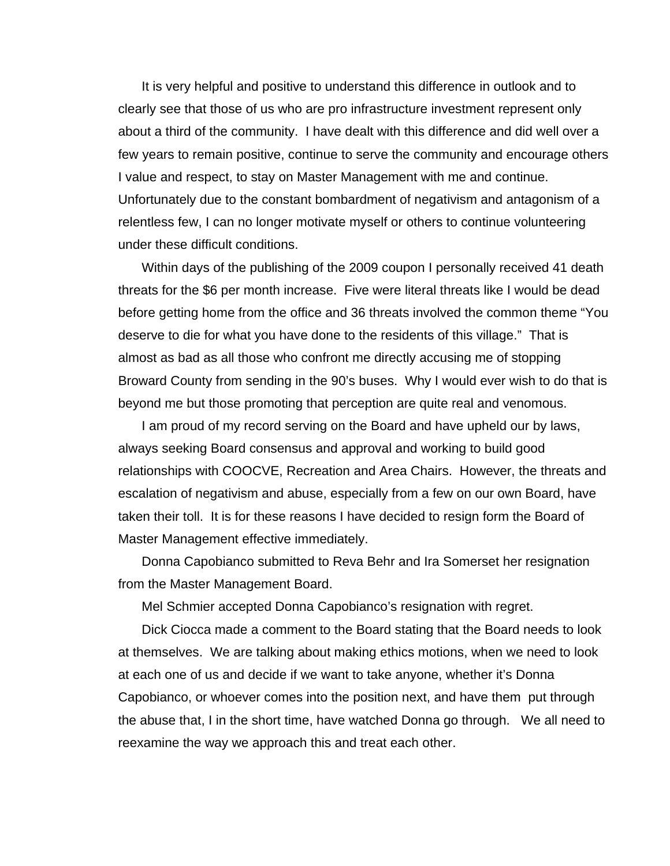It is very helpful and positive to understand this difference in outlook and to clearly see that those of us who are pro infrastructure investment represent only about a third of the community. I have dealt with this difference and did well over a few years to remain positive, continue to serve the community and encourage others I value and respect, to stay on Master Management with me and continue. Unfortunately due to the constant bombardment of negativism and antagonism of a relentless few, I can no longer motivate myself or others to continue volunteering under these difficult conditions.

Within days of the publishing of the 2009 coupon I personally received 41 death threats for the \$6 per month increase. Five were literal threats like I would be dead before getting home from the office and 36 threats involved the common theme "You deserve to die for what you have done to the residents of this village." That is almost as bad as all those who confront me directly accusing me of stopping Broward County from sending in the 90's buses. Why I would ever wish to do that is beyond me but those promoting that perception are quite real and venomous.

I am proud of my record serving on the Board and have upheld our by laws, always seeking Board consensus and approval and working to build good relationships with COOCVE, Recreation and Area Chairs. However, the threats and escalation of negativism and abuse, especially from a few on our own Board, have taken their toll. It is for these reasons I have decided to resign form the Board of Master Management effective immediately.

Donna Capobianco submitted to Reva Behr and Ira Somerset her resignation from the Master Management Board.

Mel Schmier accepted Donna Capobianco's resignation with regret.

Dick Ciocca made a comment to the Board stating that the Board needs to look at themselves. We are talking about making ethics motions, when we need to look at each one of us and decide if we want to take anyone, whether it's Donna Capobianco, or whoever comes into the position next, and have them put through the abuse that, I in the short time, have watched Donna go through. We all need to reexamine the way we approach this and treat each other.